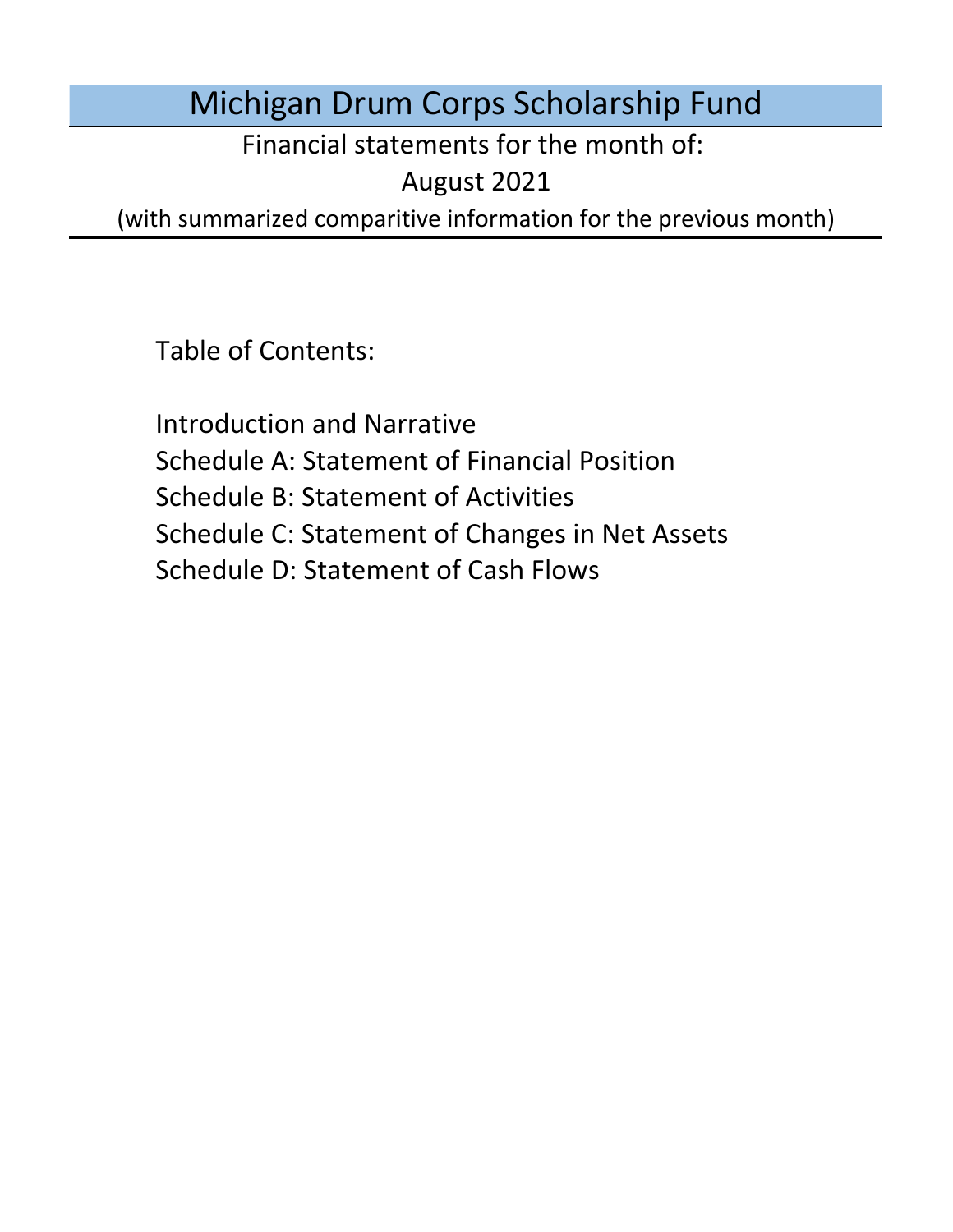# Michigan Drum Corps Scholarship Fund

Financial statements for the month of:

August 2021

(with summarized comparitive information for the previous month)

Table of Contents:

Schedule D: Statement of Cash Flows Introduction and Narrative Schedule A: Statement of Financial Position Schedule B: Statement of Activities Schedule C: Statement of Changes in Net Assets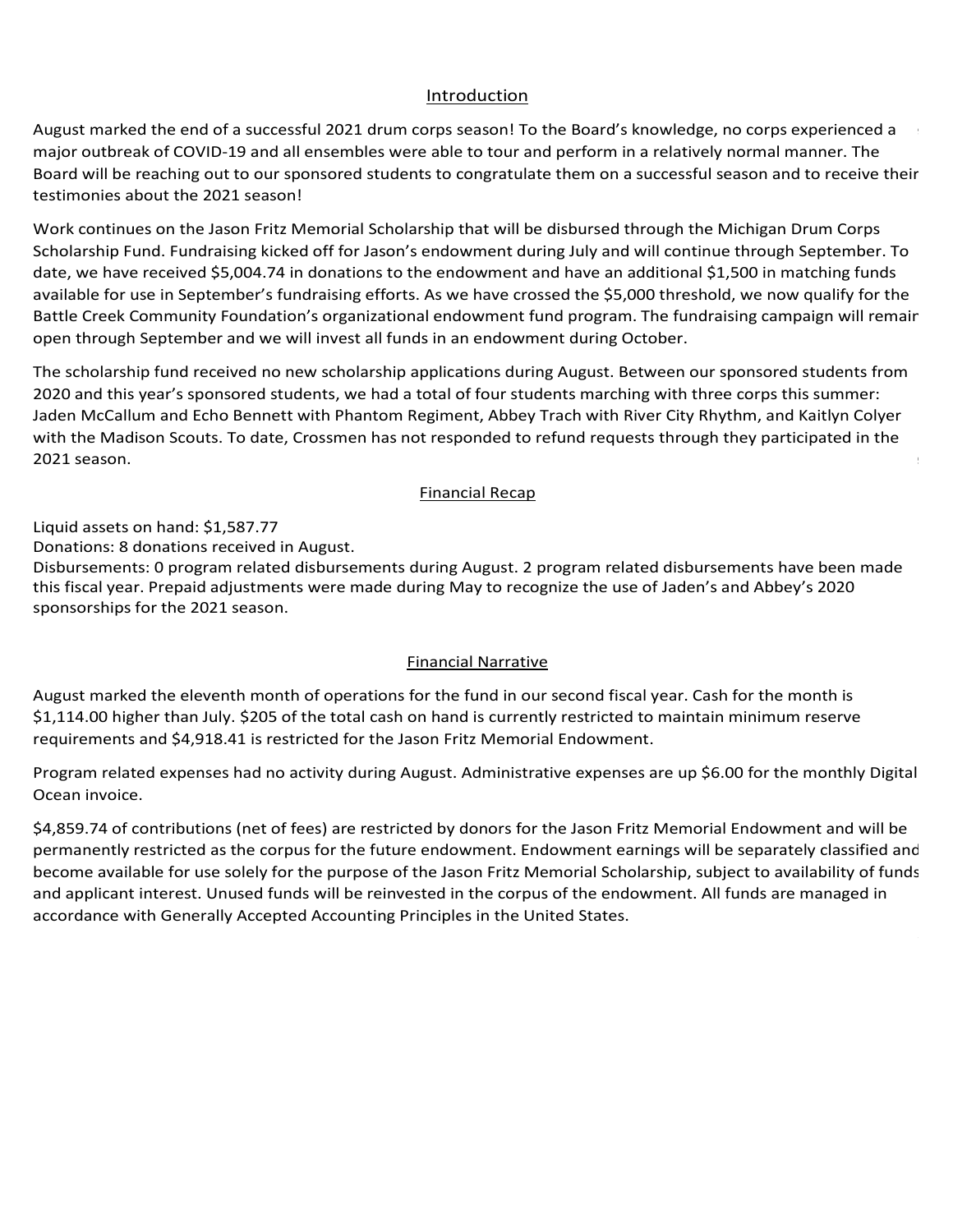### Introduction Introduction Introduction Introduction

Introduction<br>August marked the end of a successful 2021 drum corps season! To the Board's knowledge, no corps experienced a <u>Introduction</u><br>August marked the end of a successful 2021 drum corps season! To the Board's knowledge, no corps experienced a<br>major outbreak of COVID-19 and all ensembles were able to tour and perform in a relatively norma Board will be reaching out to our sponsored students to congratulate them on a successful season and to receive their<br>testimonies about the 2021 season! testimonies about the 2021 season! On December 3rd, 2020, Drum Corps International announced plans for events at Lucas Oil Stadium in Indianapolis, IN Drum Corps International's annual meeting took place in late January and focused on updates from the Tour March 2nd, President Biden and that the United States is on pace to produce that the United States is on pace to supply all the United States is on pace to produce the United States is on pace to supply all the United Stat

Work continues on the Jason Fritz Memorial Scholarship that will be disbursed through the Michigan Drum Corps<br>Scholarship Fund Fundational island off for large the magnetic help and will continue through Scatter has T Scholarship Fund. Fundraising Kicked on for Jason's endowment during July and will continue through September.<br>date, we have received \$5,004.74 in donations to the endowment and have an additional \$1,500 in matching funds<br> and, we have received \$3,004.74 in donations to the endowment and have an additional \$1,500 in matching runds<br>available for use in September's fundraising efforts. As we have crossed the \$5,000 threshold, we now qualify fo Battle Creek Community Foundation's organizational endowment fund program. The fundraising campaign will remain open through September and we will invest all funds in an endowment during October.<br>The scholarship fund received no new scholarship applications during August. Between our sponsored students from work continues on the Jason Fritz Memorial Scholarship that will be disbursed through the Michigan Drum Corps<br>Scholarship Fund. Fundraising kicked off for Jason's endowment during July and will continue through September. open through September and we will invest all funds in an endowment during October. -19 and all ensembles were able to tour and perform in a relatively normal manner. The<br>
to our sponsored students to congratulate them on a successful season and to receive the<br>
21 season!<br>
son Fritz Memorial Scholarship t ul 2021 drum corps season! To the Board's knowledge, no corps experienced ansembles were able to tour and perform in a relatively normal manner. The monral smonted perform in a successful season and to receive the moral sc |<br>Work continues on the Jason Fritz Memorial Scholarship that will be disbursed through the Michigan Drum Corps open through September and we will invest all funds in an endowment during October.<br> available for use in september's fundraising enorts. As we have crossed the \$5,000 threshold, we now quality for the<br>Battle Creek Community Foundation's organizational endowment fund program. The fundraising campaign will venue. Continues on the Jason Fritz ivienional scholarship that will be usbursed through the ivitality brunn corp<br>Colorado to Franklin be a later that the protections of the protective measures for the protective measures aste, we have received 55,004.74 in donations to |<br>Work continues on the Jason Fritz Memorial Scholarship that will be disbursed through the Michigan Drum Corps| ب<br>ا Scholarship Fund. Fundraising kicked off for Jason's endowment during July and will continue through September. To<br>Het same have reserved OF 004.74 in denstices to the endowment and have an additional 04.500 in metables fu date, we have received \$5,004.74 in donations to the endowment and have an additional \$1,500 in matching funds<br>surilable for use in Cantamber's fundations offerts, As we have among this CE 200 throughold we assumed if then August marked the end of a successful 2021 drum cargo season in to the Board's knowledge, no corps experienced a<br>Board will be reaching out to our geometrical to congratulate them on a successful season and to receive thei

Jaden McCallum and Echo Bennett with Phantom Regiment, Abbey Trach with River City Rhythm, and Kaitlyn Colyer<br>with the Madison Scouts. To date, Crossmen has not responded to refund requests through they participated in the with the Madison Scouts. To date, Crossmen has not responded to refund requests through they participated in the 2021 season. The scholarship fund received no new scholarship applications during August. Between our sponsored students †<br>2020 and this year's sponsored students, we had a total of four students marching with three corps this summer<br>J  $2021$  season. The seventh of operations for the fund under its declared fiscal year. Cash for the fund under its declared fiscal year. Cash for the fund under its declared fiscal year. Cash for the fund under its declare The scholarship rund received no new scholarship applications during August. Between our sponsored students nom<br>2020 and this year's sponsored students, we had a total of four students marching with three corps this summer  $2021$  season. The housing exclusively in hotels or college dormitories, a regional touring model, and isolating model, and isolating model, and isolating model, and isolating model, and isolating model, and isolating mod  $2021$  season. The housing exclusively in hotels or college dormitories, a regional touring model, and isolating model, and isolating model, and isolating model, and isolating model, and isolating model, and isolating mod  $\sim$  2021 season. ilable for use in September's fundraising efforts. As we have crossed the \$5,000 threshold, we now qualify for the<br>tle Creek Community Foundation's organizational endowment fund program. The fundraising campaign will rema<br> in January 2021. Season. The very same day, the Blue Devils and Santa Clara Vanguard and Santa Clara Vanguard and Santa Clara Vanguard and Santa Clara Vanguard and Santa Clara Vanguard announced that they will not be very  $p_{\rm 2021}$  season.  $p_{\text{max}}$  is virtual instruction and performance opportunities. Legends has not announced a virtual learning a virtual learning a virtual learning a virtual learning a virtual learning a virtual learning a virtual learnin rolled into digital endowment<br>ands in an endowment<br>a total of four studen<br>a Regiment, Abbey Trand responded to refu The scholarship fund received no new scholarship applications during August. Between our sponsored students is<br>2020 and this year's sponsored students, we had a total of four students marching with three corps this summer participating with Phantom Regiment. That said, Lauren Strager will not be marching with Crossmen and Legends has been and Legends has been and Legends has been and Legends has been and Legends has been and Legends has bee zozo and this year's sponsored students, we had a total or four students marching with three corps this s<br>Index McCelling and Fake Bennett with Blantens Besinent Miller Treationith Bires City Blantling and Kei  $2021$  season. New applications during April but approved a  $315.00$  disputed a  $315.00$ critics scholarship runu received no new scholarship applications during August. Between our sponsored students in<br>2020 and this weak as a ware well at whether we had a tatal of face at what we are this will these as we th  $20$ zu anu this years.  $2021$  season. That was approved last monotonical monotonical chair has been in contact with all sponsored students of  $\mathbb{R}$ To date is using August. Between our sponsored students from 2020 and this year's sponsored students, we had a total of four students marching with three corps this summer:<br>Index MeGalling and Fake Barnett with Blantany Basiment, Alder Treat with Bires Gits Blantan, and Kaitlen Galv  $2021$  season. Tuition sponsorship with Phantom Regiment. Between our sponsored students sponsored students to  $\mathbb{R}$  $2021$  season. To date,  $C$  and refund requests through the  $2021$  season.

### $\noindent$   $\noindent$   $\noindent$   $\noindent$   $\noindent$   $\noindent$   $\noindent$   $\noindent$   $\noindent$   $\noindent$   $\noindent$   $\noindent$   $\noindent$   $\noindent$   $\noindent$   $\noindent$   $\noindent$   $\noindent$   $\noindent$   $\noindent$ Disbursements: 0 program related disbursements during May. each corps in a bubble to limit the spread of the spread of the virus. The virus of the virus of the virus of the virus. The virus of the virus of the virus of the virus of the virus of the virus of the virus of the virus. Monthly Financial Recap participating in the 2021 season. The board will continue to monitor the state of the marching arts and will provide updates to all interested parties as more interested parties as more information is available. of the marching arts and will provide updates to all interested parties as more information becomes available. program and no ensembles have announced any in-person activities to date. Of our five sponsored programs, the Crossmen, Madison Scouts, and Phantom Regiment have all announced they will be attending the events in Crossmen, Madison Scouts, and Phantom Regiment have all announced they will be attending the events in Indianapolis. The board continues to monitor the state of the marchinese state of the marchinese updates to all interested updates to all interested updates to all interested updates to all interested updates to all intere opted to forego the 2021 season and focus on a return to full operations in 2022. Colyer, a student at the University of Michigan who will be marching with the Madison Scouts. The board chair has been in contact with a large students from the 2020 season and has confirmed that Abbey Trach is confirmed that Abbey Trach is a season and has confirmed that Abbey Trach is a season and has confirmed that Abbey Trach is a from the 2020 season and has confirmed that Abbey Trach is participating with River City Rhythm and Jaden  $M_{\rm H}$  matricial we have received a  $400$ . from 2020 and this year's sponsored students, we have a total of four students marching with three corps this summer: Jaden McCallum and Echo Bennett with Phantom Regiment, Abbey Trach with River City Rhythm, and Kaitlyn, and Kaitlyn, and Kaitlyn, and Kaitlyn, and Kaitlyn, and Kaitlyn, and Kaitlyn, and Kaitlyn, and Kaitlyn, and Ka

Einancial Recap<br>Liquid assets on hand: \$1,587.77  $\frac{1}{2}$ iquid assets on band: \$1,587,77 minimum reserve requirements. Liquid assets on hand: \$1,587.77<br>Denotional denotions massived in August No decisions have been made regarding the 2021 season by Drum Corps International and we expect more guidance  $A$ most notable announcements is the most compiled  $\sim$   $\frac{1}{2}$ 

Liquid assets on hand: \$1514.43

reserve requirements.

requirements.

cancellation.

2021 season.

2021 season.

Liquid assets on hand: \$1,587.77<br>Donations: 8 donations received in August.

Donations: 0 donations received in April.

Donations: 0 donations received during May.

Pfizer's announcement and the WHO resources.

Disbursements: 0 program related disbursements during August. 2 program related disbursements have been made<br>this fiscal year. Prepaid adjustments were made during May to recognize the use of Jaden's and Abbey's 2020<br>spons sponsorships for the 2021 season. Unrestricted Funds in accordance with Generally Accepted Accounting Principles in the United States. Disbursements: 0 program related disbursements during August: 2 program related disbursements have been made<br>this fiscal year. Prepaid adjustments were made during May to recognize the use of Jaden's and Abbey's 2020<br>spons is 5.000 lower than April. \$205 of the total cash on hand is currently restricted to maintain minimum minimum m<br>The total cash of the total cash of the total cash of the total cash of the total cash of the total cash of th  $5.00$  lower than  $A$  of the total cash on total cash on hand is currently restricted to maintain minimum reserves  $\sim$ Liquid assets on hand: \$617.08  $\begin{array}{c} \bullet \\ \bullet \end{array}$ 

### No funds are currently restricted by outside donors. All restrictions made by the Board are included under United Funds in accordance with General Library Accepted Accepted Accepted Accepted Accepted Accepted States. The United States in the United States in the United States. The United States in the United States. The United June marked the tenth month of operations for the fund under its declared fiscal year. Cash for the month of the month of the month of the month of the month of the month of the month of the month of the month of the month **Example 2018 Example 2018 Example 2019 Example 2019 Contract 2019 Contract 2019 Contract 2019 Contract 2019 Contract 2019 Contract 2019 Contract 2019 Contract 2019 Contract 2019 Contract 2019 C**  $D$  during  $\mathcal{L}$  the Board Chair noted that the financial statements was running from the financial statements was running from the financial statements was running from the financial statements was running from the fi September – August though the bylaws state discussion of the organization of the organization of the organization of the organization of the organization of the organization of the organization of the organization of the o Donations: 0 donations received during October. 4 PayPal donations transferred in November. year. \$1,590 in prepaid to the 2021 season has been rolled forward into the 2021 season due to the 2020 season due to the 2020 season due to the 2021 season due to the 2021 season due to the 2020 season cancellation. The 2 year. \$1,590 in prepaid tuition has been rolled forward into the 2021 season due to the 2020 season cancellation. Disbursements: 0 program related disbursements during April. 0 program related disbursements made this fiscal year.  $f_{\text{inomial} \text{M} \text{} \text{} \text{M} \text{} \text{}$ by the corps in June 2011 and Abbey's sponsorships were made during May for Jaden's sponsorships to recognize Program relation relation of produce the corps in Australia by the corps in June and will likely be deposited <br>By the corps in June and will likely be deposited by the corps in June and will likely by the corps in June an<br> Prepaid adjustments were made during May to recognize the use of Jaden's and Abbey's 2020 sponsorships for the

Disbursements: 0 program related disbursements during February. 0 program related disbursements made this fiscal

by the corps in June. Echo is 400.000 disbursement was approved and paid but has yet to be deposited by the co

Einancial Narrative<br>August marked the eleventh month of operations for the fund in our second fiscal year. Cash for the month is \$1,114.00 higher than July. \$205 of the total cash on hand is currently restricted to maintain minimum reserve experience in the same of the total cash of hand is carrelly restricted to maintain imminimity reserve.<br>requirements and \$4,918.41 is restricted for the Jason Fritz Memorial Endowment. For the fund in our \$1,114.00 higher than July. \$205 of the total cash on hand is currently restricted to maintain minimum reserve \$1,114.00 higher than July. \$205 of the total cash on hand is currently restricted to maintain minimum reserve<br>seminone at a set \$4,049.44 is matricial fact to the theory Fritz Managetic Federmant

fiscal year. \$1,590 in prepaid tuition has been rolled forward into the 2021 season due to the 2020 season

Donations: 0 donations received in December. 1 PayPal donation from December transferred in January.

to either remain at the year-to-date balance of \$2,490 or lower for refunds received / reclassifications Program related expenses had no activity<br>C Program related expenses did not change during the month. Administrative expenses are up \$6.00 for the Program related expenses had no activity during August. Administrative expenses are up \$6.00 for the monthly Digit<br>C season, program experience are experience to either remain at the year-to-date balance of  $\alpha$ 2022 season. Administrative expenses are up the monthly Digital Ocean involves are up to the monthly Digital Ocean involves charged to the monthly Digital Ocean involves charged to the monthly Digital Ocean involves charge Under the corrected fiscal year, August marked the eleventh month of operations for the fund. Cash for the Program related expenses had no activity during August. Administrative expenses are up \$6.00 for the monthly Digi<br>Cash for the monthly Digital Australian in the fund in the fund in the fund in the fund in the monthly Digit Ocean invoice.  $\alpha$  September.  $\alpha$  of the total cash on hand is currently restricted to maintain minimum reserve requirements. The total cash on  $\alpha$ .<br>Bernam october than October. 205 of the total cash on hand is currently reserved to maintain minimum reserved riogram relati Program related expenses had no activity during August. Administrative expenses are up \$6.00 for the monthly Digi Ocean invoice.<br>Charged to the business checking account account account account account account. higher than December than to activity during August. Authmistrative expenses are up yoloo for the mor<br>Ossen invoice lower than  $\frac{1}{2}$  of the total case of the total case of the total case of the total case of  $\frac{1}{2}$  of  $\frac{1}{2}$  of  $\frac{1}{2}$  of  $\frac{1}{2}$  of  $\frac{1}{2}$  of  $\frac{1}{2}$  of  $\frac{1}{2}$  of  $\frac{1}{2}$  of  $\frac{1}{2}$  of  $\frac{1}{2}$ Program invoice. Administrative expenses did not change during February. Administrative expenses are up \$6.00 for the monthly feed of the monthly february. Administrative expenses are up \$6.00 for the monthly feed of the m Rugust. Administra Program related expenses had no activity during August. Administrative expenses are up \$6.00 for the monthly Di May marked the eighth month of operations for the fund in our second fiscal year. Cash for the month in our second fiscal year. Cash for the month is  $221.15$ June marked the ninth month of operations for the fund in our second fiscal year. Cash for the month is  $345.755$ Program related expenses had no activity during August. Administrative expenses are up \$6.00 for the monthly Digital and \$3,798.41 is restricted for the Jason Fritz Memorial Endowment. The Jason Fritz Memorial Endowment. The Jason Fritz Memorial Endowment of the Jason Fritz Memorial Endowment. The Jason Fritz Memorial Endowment. The Seco

s<br>4,859.74 of contributions (net of fees) are restricted by donors for the Jason Fritz Memorial Endowment and will be permanently restricted as the corpus for the future endowment. Endowment earnings will be separately classified an become available for use solely for the purpose of the Jason Fritz Memorial Scholarship, subject to availability of funds and applicant interest. Unused funds will be reinvested in the corpus of the endowment. All funds are managed in accordance with Generally Accepted Accounting Principles in the United States. accordance with Generally Accepted Accounting Principles in the United States. Program related expenses did not change during November. Administrative expenses are up \$24.45 for the monthly p4,000.74 OF CONTINUATIONS (HET OF TEES) ATE TESTITCTED BY QUITOTS TOF THE JASUIT FITLE MEMORIAL ENQUINITII.<br>Provided activities of the business fact the feed of the feed of the particle of the payPal feed on the payPal -<br>\$4,859.74 of contributions (net of fees) are restricted by donors for the Jason Fritz Memorial Endowment and will permanently restricted as the corpus for the future endowment. Endowment earnings will be separately classified higher than February. \$205 of the total cash on hand is currently restricted to maintain minimum reserve permanently restricted as the corpus for the future endowment. Endowment earnings will be separately classified and \$4,859.74 of contributions (net of fees) are restricted by donors for the Jason Fritz Memorial Endowment and will be

become available for use solely for the purpose of the Jason Fritz Memorial Scholarship, subject to availability of funds and applicant interest. Unused funds will be reinvested in the corpus of the endowment. All funds are managed in

Unrestricted Funds in accordance with Generally Accepted Accounting Principles in the United States.

Unrestricted Funds in accordance with Generally Accepted Accounting Principles in the United States.

No funds are currently restricted by outside donors. All restrictions made by the Board are included under Unrestricted Funds in accordance with Generally Accepted Accounting Principles in the United States.

Unrestricted Funds in accordance with Generally Accepted Accounting Principles in the United States.

accordance with Generally Accepted Accounting Principles in the United States.

No funds are currently restricted by outside donors. All restrictions made by the Board are included under Unrestricted Funds in accordance with Generally Accepted Accounting Principles in the United States.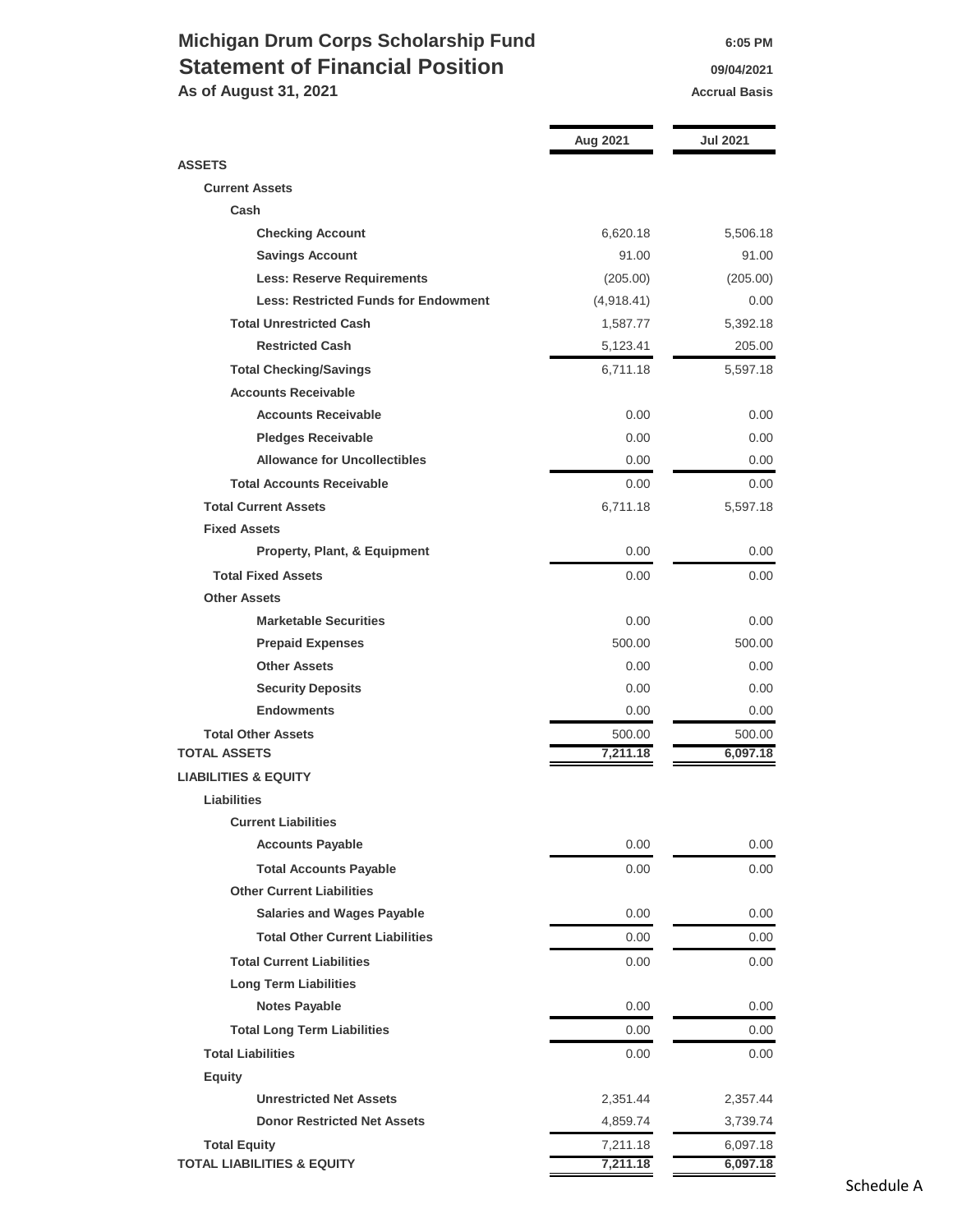### **Michigan Drum Corps Scholarship Fund 6:05 PM Statement of Financial Position 19/04/2021**

**As of August 31, 2021 Accrual Basis Accrual Basis** 

|                                             | Aug 2021   | Jul 2021 |  |
|---------------------------------------------|------------|----------|--|
| <b>ASSETS</b>                               |            |          |  |
| <b>Current Assets</b>                       |            |          |  |
| Cash                                        |            |          |  |
| <b>Checking Account</b>                     | 6,620.18   | 5,506.18 |  |
| <b>Savings Account</b>                      | 91.00      | 91.00    |  |
| <b>Less: Reserve Requirements</b>           | (205.00)   | (205.00) |  |
| <b>Less: Restricted Funds for Endowment</b> | (4,918.41) | 0.00     |  |
| <b>Total Unrestricted Cash</b>              | 1,587.77   | 5,392.18 |  |
| <b>Restricted Cash</b>                      | 5,123.41   | 205.00   |  |
| <b>Total Checking/Savings</b>               | 6,711.18   | 5,597.18 |  |
| <b>Accounts Receivable</b>                  |            |          |  |
| <b>Accounts Receivable</b>                  | 0.00       | 0.00     |  |
| <b>Pledges Receivable</b>                   | 0.00       | 0.00     |  |
| <b>Allowance for Uncollectibles</b>         | 0.00       | 0.00     |  |
| <b>Total Accounts Receivable</b>            | 0.00       | 0.00     |  |
| <b>Total Current Assets</b>                 | 6,711.18   | 5,597.18 |  |
| <b>Fixed Assets</b>                         |            |          |  |
| <b>Property, Plant, &amp; Equipment</b>     | 0.00       | 0.00     |  |
| <b>Total Fixed Assets</b>                   | 0.00       | 0.00     |  |
| <b>Other Assets</b>                         |            |          |  |
| <b>Marketable Securities</b>                | 0.00       | 0.00     |  |
| <b>Prepaid Expenses</b>                     | 500.00     | 500.00   |  |
| <b>Other Assets</b>                         | 0.00       | 0.00     |  |
| <b>Security Deposits</b>                    | 0.00       | 0.00     |  |
| <b>Endowments</b>                           | 0.00       | 0.00     |  |
| <b>Total Other Assets</b>                   | 500.00     | 500.00   |  |
| <b>TOTAL ASSETS</b>                         | 7,211.18   | 6,097.18 |  |
| <b>LIABILITIES &amp; EQUITY</b>             |            |          |  |
| <b>Liabilities</b>                          |            |          |  |
| <b>Current Liabilities</b>                  |            |          |  |
| <b>Accounts Payable</b>                     | 0.00       | 0.00     |  |
| <b>Total Accounts Payable</b>               | 0.00       | 0.00     |  |
| <b>Other Current Liabilities</b>            |            |          |  |
| <b>Salaries and Wages Payable</b>           | 0.00       | $0.00\,$ |  |
| <b>Total Other Current Liabilities</b>      | 0.00       | 0.00     |  |
| <b>Total Current Liabilities</b>            | 0.00       | 0.00     |  |
| <b>Long Term Liabilities</b>                |            |          |  |
| <b>Notes Payable</b>                        | 0.00       | 0.00     |  |
|                                             |            |          |  |
| <b>Total Long Term Liabilities</b>          | 0.00       | 0.00     |  |
| <b>Total Liabilities</b>                    | 0.00       | 0.00     |  |
| <b>Equity</b>                               |            |          |  |
| <b>Unrestricted Net Assets</b>              | 2,351.44   | 2,357.44 |  |
| <b>Donor Restricted Net Assets</b>          | 4,859.74   | 3,739.74 |  |
| <b>Total Equity</b>                         | 7,211.18   | 6,097.18 |  |
| <b>TOTAL LIABILITIES &amp; EQUITY</b>       | 7,211.18   | 6,097.18 |  |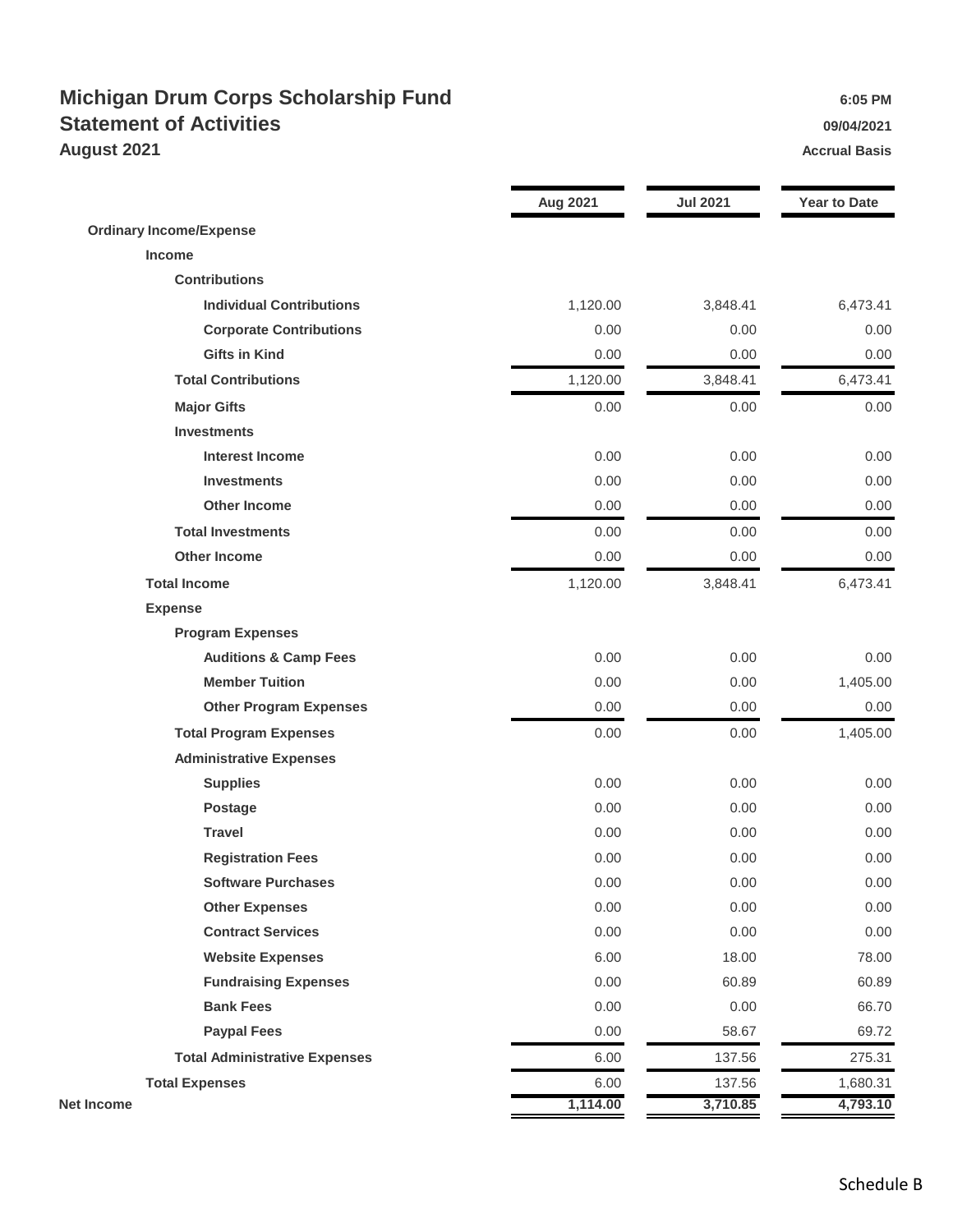### **Michigan Drum Corps Scholarship Fund 6:05 PM** 6:05 PM **Statement of Activities 199/04/2021 August 2021 Accrual Basis**

|                                      | <b>Aug 2021</b> | <b>Jul 2021</b> | <b>Year to Date</b> |
|--------------------------------------|-----------------|-----------------|---------------------|
| <b>Ordinary Income/Expense</b>       |                 |                 |                     |
| <b>Income</b>                        |                 |                 |                     |
| <b>Contributions</b>                 |                 |                 |                     |
| <b>Individual Contributions</b>      | 1,120.00        | 3,848.41        | 6,473.41            |
| <b>Corporate Contributions</b>       | 0.00            | 0.00            | 0.00                |
| <b>Gifts in Kind</b>                 | 0.00            | 0.00            | 0.00                |
| <b>Total Contributions</b>           | 1,120.00        | 3,848.41        | 6,473.41            |
| <b>Major Gifts</b>                   | 0.00            | 0.00            | 0.00                |
| <b>Investments</b>                   |                 |                 |                     |
| <b>Interest Income</b>               | 0.00            | 0.00            | 0.00                |
| <b>Investments</b>                   | 0.00            | 0.00            | 0.00                |
| <b>Other Income</b>                  | 0.00            | 0.00            | 0.00                |
| <b>Total Investments</b>             | 0.00            | 0.00            | 0.00                |
| <b>Other Income</b>                  | 0.00            | 0.00            | 0.00                |
| <b>Total Income</b>                  | 1,120.00        | 3,848.41        | 6,473.41            |
| <b>Expense</b>                       |                 |                 |                     |
| <b>Program Expenses</b>              |                 |                 |                     |
| <b>Auditions &amp; Camp Fees</b>     | 0.00            | 0.00            | 0.00                |
| <b>Member Tuition</b>                | 0.00            | 0.00            | 1,405.00            |
| <b>Other Program Expenses</b>        | 0.00            | 0.00            | 0.00                |
| <b>Total Program Expenses</b>        | 0.00            | 0.00            | 1,405.00            |
| <b>Administrative Expenses</b>       |                 |                 |                     |
| <b>Supplies</b>                      | 0.00            | 0.00            | 0.00                |
| <b>Postage</b>                       | 0.00            | 0.00            | 0.00                |
| <b>Travel</b>                        | 0.00            | 0.00            | 0.00                |
| <b>Registration Fees</b>             | 0.00            | 0.00            | 0.00                |
| <b>Software Purchases</b>            | 0.00            | 0.00            | 0.00                |
| <b>Other Expenses</b>                | 0.00            | 0.00            | 0.00                |
| <b>Contract Services</b>             | 0.00            | 0.00            | 0.00                |
| <b>Website Expenses</b>              | 6.00            | 18.00           | 78.00               |
| <b>Fundraising Expenses</b>          | 0.00            | 60.89           | 60.89               |
| <b>Bank Fees</b>                     | 0.00            | 0.00            | 66.70               |
| <b>Paypal Fees</b>                   | 0.00            | 58.67           | 69.72               |
| <b>Total Administrative Expenses</b> | 6.00            | 137.56          | 275.31              |
| <b>Total Expenses</b>                | 6.00            | 137.56          | 1,680.31            |
| Net Income                           | 1,114.00        | 3,710.85        | 4,793.10            |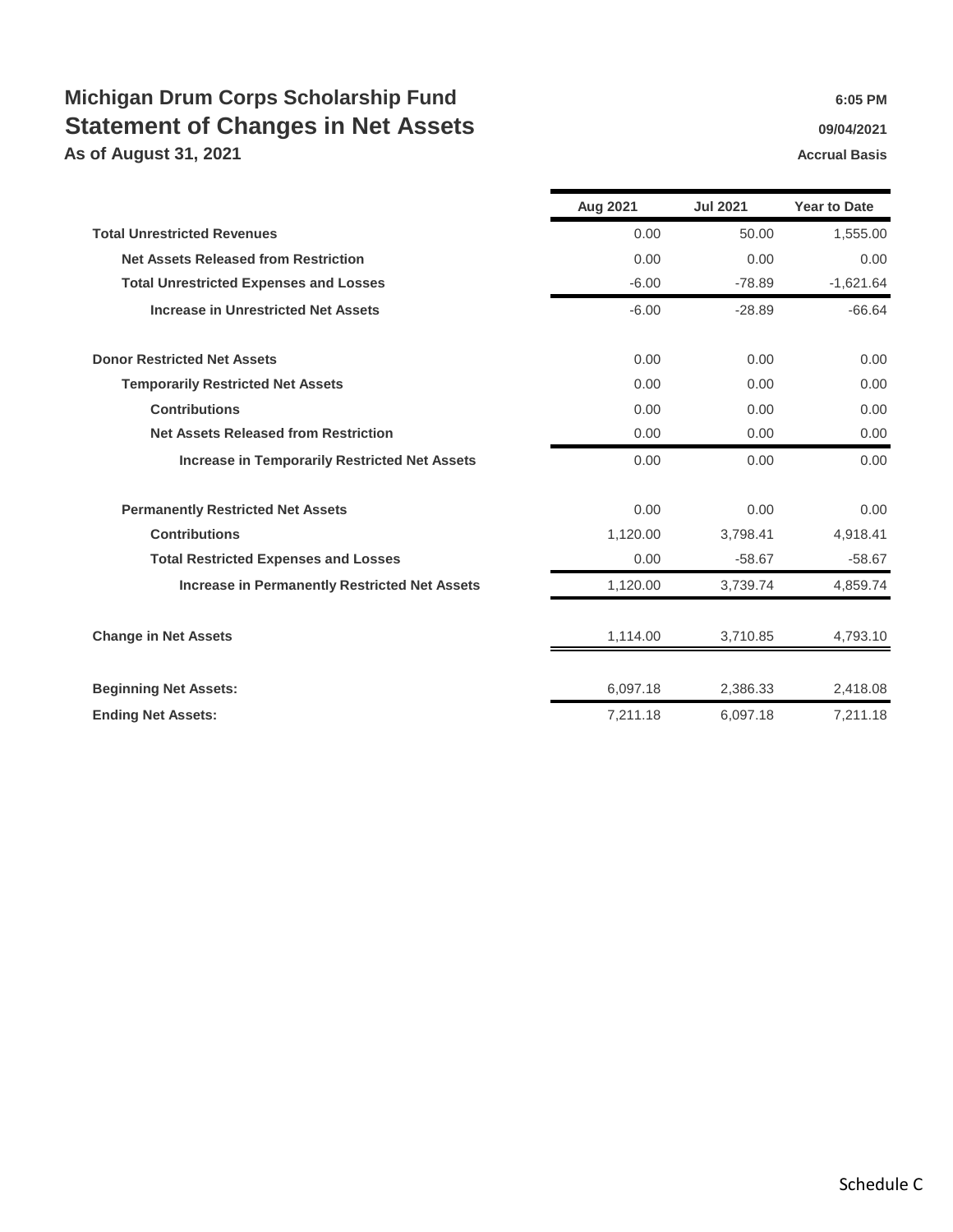## **Michigan Drum Corps Scholarship Fund 6:05 PM** 6:05 PM **Statement of Changes in Net Assets 1999 12021 1999 12021**

**As of August 31, 2021 Accrual Basis Accrual Basis** 

|                                                      | Aug 2021 | <b>Jul 2021</b> | <b>Year to Date</b> |
|------------------------------------------------------|----------|-----------------|---------------------|
| <b>Total Unrestricted Revenues</b>                   | 0.00     | 50.00           | 1,555.00            |
| <b>Net Assets Released from Restriction</b>          | 0.00     | 0.00            | 0.00                |
| <b>Total Unrestricted Expenses and Losses</b>        | $-6.00$  | $-78.89$        | $-1,621.64$         |
| <b>Increase in Unrestricted Net Assets</b>           | $-6.00$  | $-28.89$        | $-66.64$            |
| <b>Donor Restricted Net Assets</b>                   | 0.00     | 0.00            | 0.00                |
| <b>Temporarily Restricted Net Assets</b>             | 0.00     | 0.00            | 0.00                |
| <b>Contributions</b>                                 | 0.00     | 0.00            | 0.00                |
| <b>Net Assets Released from Restriction</b>          | 0.00     | 0.00            | 0.00                |
| <b>Increase in Temporarily Restricted Net Assets</b> | 0.00     | 0.00            | 0.00                |
| <b>Permanently Restricted Net Assets</b>             | 0.00     | 0.00            | 0.00                |
| <b>Contributions</b>                                 | 1,120.00 | 3,798.41        | 4,918.41            |
| <b>Total Restricted Expenses and Losses</b>          | 0.00     | $-58.67$        | $-58.67$            |
| <b>Increase in Permanently Restricted Net Assets</b> | 1,120.00 | 3,739.74        | 4,859.74            |
| <b>Change in Net Assets</b>                          | 1,114.00 | 3,710.85        | 4,793.10            |
| <b>Beginning Net Assets:</b>                         | 6,097.18 | 2,386.33        | 2,418.08            |
| <b>Ending Net Assets:</b>                            | 7,211.18 | 6,097.18        | 7,211.18            |